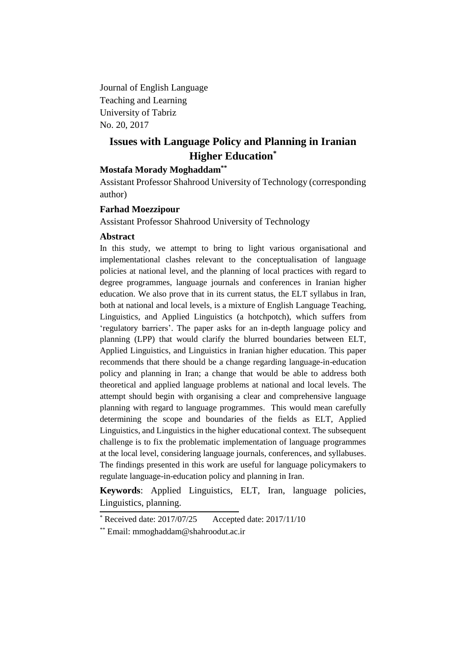Journal of English Language Teaching and Learning University of Tabriz No. 20, 2017

# **Issues with Language Policy and Planning in Iranian Higher Education\***

# **Mostafa Morady Moghaddam\*\***

Assistant Professor Shahrood University of Technology (corresponding author)

### **Farhad Moezzipour**

Assistant Professor Shahrood University of Technology

## **Abstract**

In this study, we attempt to bring to light various organisational and implementational clashes relevant to the conceptualisation of language policies at national level, and the planning of local practices with regard to degree programmes, language journals and conferences in Iranian higher education. We also prove that in its current status, the ELT syllabus in Iran, both at national and local levels, is a mixture of English Language Teaching, Linguistics, and Applied Linguistics (a hotchpotch), which suffers from 'regulatory barriers'. The paper asks for an in-depth language policy and planning (LPP) that would clarify the blurred boundaries between ELT, Applied Linguistics, and Linguistics in Iranian higher education. This paper recommends that there should be a change regarding language-in-education policy and planning in Iran; a change that would be able to address both theoretical and applied language problems at national and local levels. The attempt should begin with organising a clear and comprehensive language planning with regard to language programmes. This would mean carefully determining the scope and boundaries of the fields as ELT, Applied Linguistics, and Linguistics in the higher educational context. The subsequent challenge is to fix the problematic implementation of language programmes at the local level, considering language journals, conferences, and syllabuses. The findings presented in this work are useful for language policymakers to regulate language-in-education policy and planning in Iran.

**Keywords**: Applied Linguistics, ELT, Iran, language policies, Linguistics, planning.

 $*$  Received date: 2017/07/25 Accepted date: 2017/11/10

<sup>\*\*</sup> Email: mmoghaddam@shahroodut.ac.ir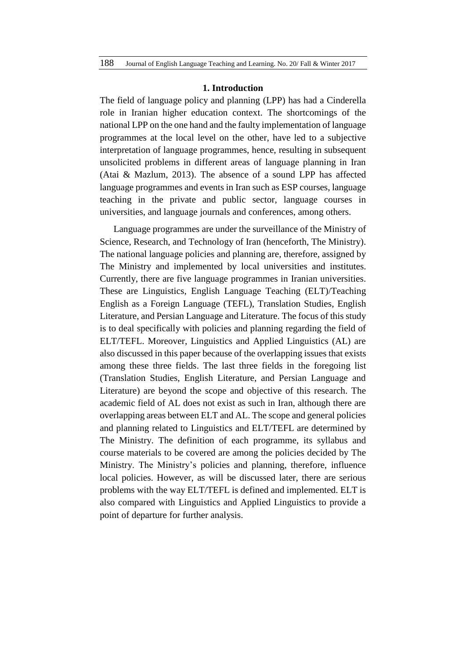#### **1. Introduction**

The field of language policy and planning (LPP) has had a Cinderella role in Iranian higher education context. The shortcomings of the national LPP on the one hand and the faulty implementation of language programmes at the local level on the other, have led to a subjective interpretation of language programmes, hence, resulting in subsequent unsolicited problems in different areas of language planning in Iran (Atai & Mazlum, 2013). The absence of a sound LPP has affected language programmes and events in Iran such as ESP courses, language teaching in the private and public sector, language courses in universities, and language journals and conferences, among others.

Language programmes are under the surveillance of the Ministry of Science, Research, and Technology of Iran (henceforth, The Ministry). The national language policies and planning are, therefore, assigned by The Ministry and implemented by local universities and institutes. Currently, there are five language programmes in Iranian universities. These are Linguistics, English Language Teaching (ELT)/Teaching English as a Foreign Language (TEFL), Translation Studies, English Literature, and Persian Language and Literature. The focus of this study is to deal specifically with policies and planning regarding the field of ELT/TEFL. Moreover, Linguistics and Applied Linguistics (AL) are also discussed in this paper because of the overlapping issues that exists among these three fields. The last three fields in the foregoing list (Translation Studies, English Literature, and Persian Language and Literature) are beyond the scope and objective of this research. The academic field of AL does not exist as such in Iran, although there are overlapping areas between ELT and AL. The scope and general policies and planning related to Linguistics and ELT/TEFL are determined by The Ministry. The definition of each programme, its syllabus and course materials to be covered are among the policies decided by The Ministry. The Ministry's policies and planning, therefore, influence local policies. However, as will be discussed later, there are serious problems with the way ELT/TEFL is defined and implemented. ELT is also compared with Linguistics and Applied Linguistics to provide a point of departure for further analysis.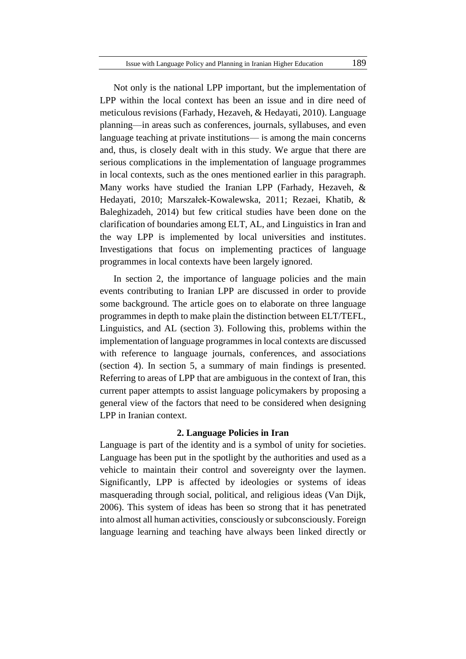Not only is the national LPP important, but the implementation of LPP within the local context has been an issue and in dire need of meticulous revisions (Farhady, Hezaveh, & Hedayati, 2010). Language planning—in areas such as conferences, journals, syllabuses, and even language teaching at private institutions— is among the main concerns and, thus, is closely dealt with in this study. We argue that there are serious complications in the implementation of language programmes in local contexts, such as the ones mentioned earlier in this paragraph. Many works have studied the Iranian LPP (Farhady, Hezaveh, & Hedayati, 2010; Marszałek-Kowalewska, 2011; Rezaei, Khatib, & Baleghizadeh, 2014) but few critical studies have been done on the clarification of boundaries among ELT, AL, and Linguistics in Iran and the way LPP is implemented by local universities and institutes. Investigations that focus on implementing practices of language programmes in local contexts have been largely ignored.

In section 2, the importance of language policies and the main events contributing to Iranian LPP are discussed in order to provide some background. The article goes on to elaborate on three language programmes in depth to make plain the distinction between ELT/TEFL, Linguistics, and AL (section 3). Following this, problems within the implementation of language programmes in local contexts are discussed with reference to language journals, conferences, and associations (section 4). In section 5, a summary of main findings is presented. Referring to areas of LPP that are ambiguous in the context of Iran, this current paper attempts to assist language policymakers by proposing a general view of the factors that need to be considered when designing LPP in Iranian context.

### **2. Language Policies in Iran**

Language is part of the identity and is a symbol of unity for societies. Language has been put in the spotlight by the authorities and used as a vehicle to maintain their control and sovereignty over the laymen. Significantly, LPP is affected by ideologies or systems of ideas masquerading through social, political, and religious ideas (Van Dijk, 2006). This system of ideas has been so strong that it has penetrated into almost all human activities, consciously or subconsciously. Foreign language learning and teaching have always been linked directly or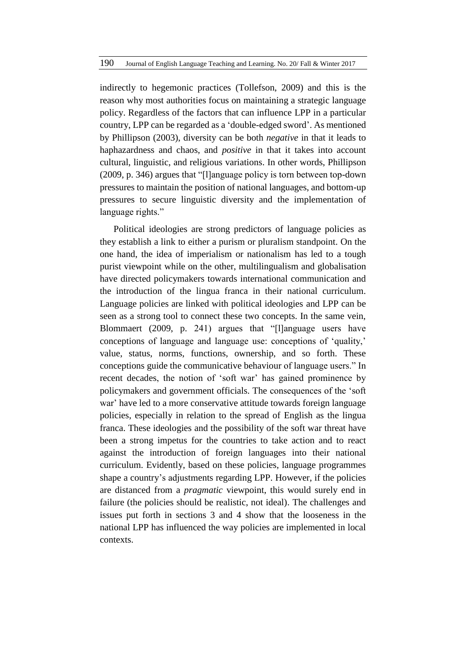indirectly to hegemonic practices (Tollefson, 2009) and this is the reason why most authorities focus on maintaining a strategic language policy. Regardless of the factors that can influence LPP in a particular country, LPP can be regarded as a 'double-edged sword'. As mentioned by Phillipson (2003), diversity can be both *negative* in that it leads to haphazardness and chaos, and *positive* in that it takes into account cultural, linguistic, and religious variations. In other words, Phillipson (2009, p. 346) argues that "[l]anguage policy is torn between top-down pressures to maintain the position of national languages, and bottom-up pressures to secure linguistic diversity and the implementation of language rights."

Political ideologies are strong predictors of language policies as they establish a link to either a purism or pluralism standpoint. On the one hand, the idea of imperialism or nationalism has led to a tough purist viewpoint while on the other, multilingualism and globalisation have directed policymakers towards international communication and the introduction of the lingua franca in their national curriculum. Language policies are linked with political ideologies and LPP can be seen as a strong tool to connect these two concepts. In the same vein, Blommaert (2009, p. 241) argues that "[l]anguage users have conceptions of language and language use: conceptions of 'quality,' value, status, norms, functions, ownership, and so forth. These conceptions guide the communicative behaviour of language users." In recent decades, the notion of 'soft war' has gained prominence by policymakers and government officials. The consequences of the 'soft war' have led to a more conservative attitude towards foreign language policies, especially in relation to the spread of English as the lingua franca. These ideologies and the possibility of the soft war threat have been a strong impetus for the countries to take action and to react against the introduction of foreign languages into their national curriculum. Evidently, based on these policies, language programmes shape a country's adjustments regarding LPP. However, if the policies are distanced from a *pragmatic* viewpoint, this would surely end in failure (the policies should be realistic, not ideal). The challenges and issues put forth in sections 3 and 4 show that the looseness in the national LPP has influenced the way policies are implemented in local contexts.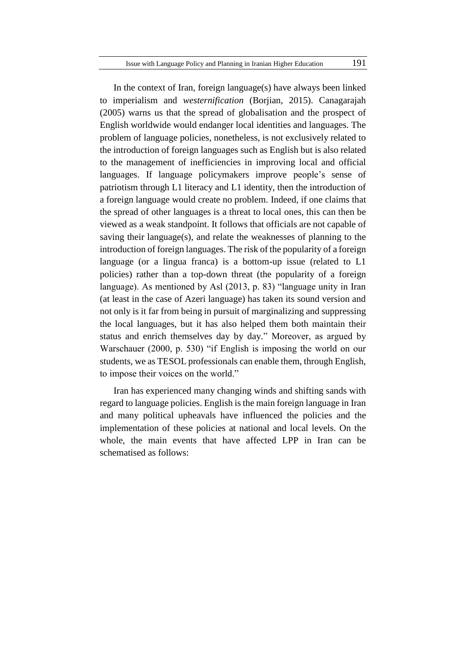In the context of Iran, foreign language(s) have always been linked to imperialism and *westernification* (Borjian, 2015). Canagarajah (2005) warns us that the spread of globalisation and the prospect of English worldwide would endanger local identities and languages. The problem of language policies, nonetheless, is not exclusively related to the introduction of foreign languages such as English but is also related to the management of inefficiencies in improving local and official languages. If language policymakers improve people's sense of patriotism through L1 literacy and L1 identity, then the introduction of a foreign language would create no problem. Indeed, if one claims that the spread of other languages is a threat to local ones, this can then be viewed as a weak standpoint. It follows that officials are not capable of saving their language(s), and relate the weaknesses of planning to the introduction of foreign languages. The risk of the popularity of a foreign language (or a lingua franca) is a bottom-up issue (related to L1 policies) rather than a top-down threat (the popularity of a foreign language). As mentioned by Asl (2013, p. 83) "language unity in Iran (at least in the case of Azeri language) has taken its sound version and not only is it far from being in pursuit of marginalizing and suppressing the local languages, but it has also helped them both maintain their status and enrich themselves day by day." Moreover, as argued by Warschauer (2000, p. 530) "if English is imposing the world on our students, we as TESOL professionals can enable them, through English, to impose their voices on the world."

Iran has experienced many changing winds and shifting sands with regard to language policies. English is the main foreign language in Iran and many political upheavals have influenced the policies and the implementation of these policies at national and local levels. On the whole, the main events that have affected LPP in Iran can be schematised as follows: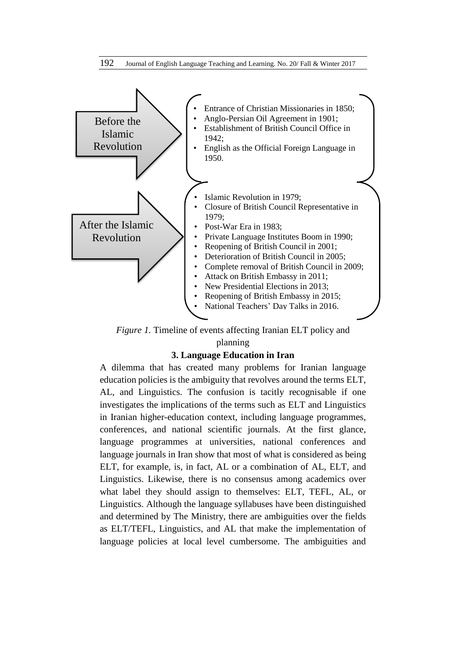

*Figure 1.* Timeline of events affecting Iranian ELT policy and

# planning

# **3. Language Education in Iran**

A dilemma that has created many problems for Iranian language education policies is the ambiguity that revolves around the terms ELT, AL, and Linguistics. The confusion is tacitly recognisable if one investigates the implications of the terms such as ELT and Linguistics in Iranian higher-education context, including language programmes, conferences, and national scientific journals. At the first glance, language programmes at universities, national conferences and language journals in Iran show that most of what is considered as being ELT, for example, is, in fact, AL or a combination of AL, ELT, and Linguistics. Likewise, there is no consensus among academics over what label they should assign to themselves: ELT, TEFL, AL, or Linguistics. Although the language syllabuses have been distinguished and determined by The Ministry, there are ambiguities over the fields as ELT/TEFL, Linguistics, and AL that make the implementation of language policies at local level cumbersome. The ambiguities and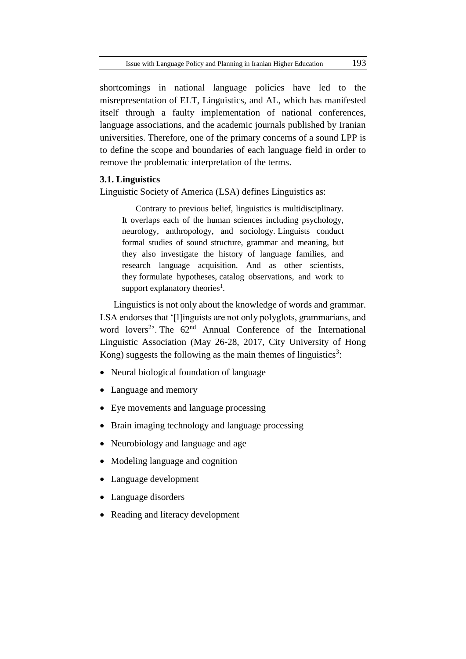shortcomings in national language policies have led to the misrepresentation of ELT, Linguistics, and AL, which has manifested itself through a faulty implementation of national conferences, language associations, and the academic journals published by Iranian universities. Therefore, one of the primary concerns of a sound LPP is to define the scope and boundaries of each language field in order to remove the problematic interpretation of the terms.

### **3.1. Linguistics**

Linguistic Society of America (LSA) defines Linguistics as:

Contrary to previous belief, linguistics is multidisciplinary. It overlaps each of the human sciences including psychology, neurology, anthropology, and sociology. Linguists conduct formal studies of sound structure, grammar and meaning, but they also investigate the history of language families, and research language acquisition. And as other scientists, they formulate hypotheses, catalog observations, and work to support explanatory theories<sup>1</sup>.

Linguistics is not only about the knowledge of words and grammar. LSA endorses that '[l]inguists are not only polyglots, grammarians, and word lovers<sup>2</sup>. The 62<sup>nd</sup> Annual Conference of the International Linguistic Association [\(May 26-28, 2017, City University of Hong](http://hallidaycentre.cityu.edu.hk/acila62/index.html)  [Kong\)](http://hallidaycentre.cityu.edu.hk/acila62/index.html) suggests the following as the main themes of linguistics<sup>3</sup>:

- Neural biological foundation of language
- Language and memory
- Eye movements and language processing
- Brain imaging technology and language processing
- Neurobiology and language and age
- Modeling language and cognition
- Language development
- Language disorders
- Reading and literacy development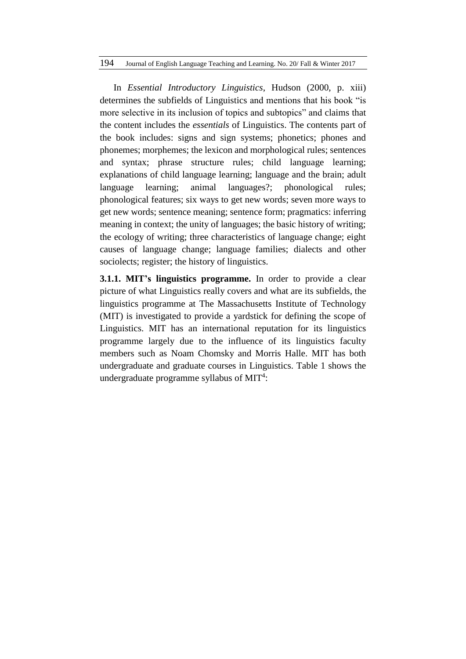### 194 Journal of English Language Teaching and Learning. No. 20/ Fall & Winter 2017

In *Essential Introductory Linguistics*, Hudson (2000, p. xiii) determines the subfields of Linguistics and mentions that his book "is more selective in its inclusion of topics and subtopics" and claims that the content includes the *essentials* of Linguistics. The contents part of the book includes: signs and sign systems; phonetics; phones and phonemes; morphemes; the lexicon and morphological rules; sentences and syntax; phrase structure rules; child language learning; explanations of child language learning; language and the brain; adult language learning; animal languages?; phonological rules; phonological features; six ways to get new words; seven more ways to get new words; sentence meaning; sentence form; pragmatics: inferring meaning in context; the unity of languages; the basic history of writing; the ecology of writing; three characteristics of language change; eight causes of language change; language families; dialects and other sociolects; register; the history of linguistics.

**3.1.1. MIT's linguistics programme.** In order to provide a clear picture of what Linguistics really covers and what are its subfields, the linguistics programme at The Massachusetts Institute of Technology (MIT) is investigated to provide a yardstick for defining the scope of Linguistics. MIT has an international reputation for its linguistics programme largely due to the influence of its linguistics faculty members such as Noam Chomsky and Morris Halle. MIT has both undergraduate and graduate courses in Linguistics. Table 1 shows the undergraduate programme syllabus of MIT<sup>4</sup>: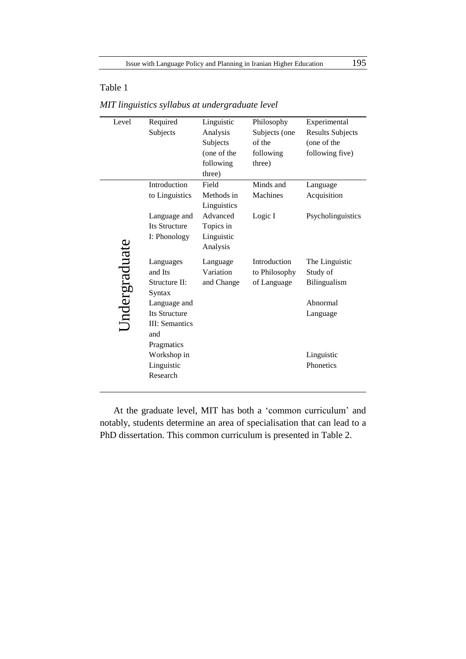## Table 1

| Level         | Required               | Linguistic  | Philosophy    | Experimental            |
|---------------|------------------------|-------------|---------------|-------------------------|
|               | Subjects               | Analysis    | Subjects (one | <b>Results Subjects</b> |
|               |                        | Subjects    | of the        | (one of the             |
|               |                        | (one of the | following     | following five)         |
|               |                        | following   | three)        |                         |
|               |                        | three)      |               |                         |
|               | Introduction           | Field       | Minds and     | Language                |
|               | to Linguistics         | Methods in  | Machines      | Acquisition             |
|               |                        | Linguistics |               |                         |
|               | Language and           | Advanced    | Logic I       | Psycholinguistics       |
|               | <b>Its Structure</b>   | Topics in   |               |                         |
|               | I: Phonology           | Linguistic  |               |                         |
|               |                        | Analysis    |               |                         |
| Undergraduate | Languages              | Language    | Introduction  | The Linguistic          |
|               | and Its                | Variation   | to Philosophy | Study of                |
|               | Structure II:          | and Change  | of Language   | Bilingualism            |
|               | Syntax                 |             |               |                         |
|               | Language and           |             |               | Abnormal                |
|               | <b>Its Structure</b>   |             |               | Language                |
|               | <b>III</b> : Semantics |             |               |                         |
|               | and                    |             |               |                         |
|               | Pragmatics             |             |               |                         |
|               | Workshop in            |             |               | Linguistic              |
|               | Linguistic             |             |               | Phonetics               |
|               | Research               |             |               |                         |
|               |                        |             |               |                         |

*MIT linguistics syllabus at undergraduate level* 

At the graduate level, MIT has both a 'common curriculum' and notably, students determine an area of specialisation that can lead to a PhD dissertation. This common curriculum is presented in Table 2.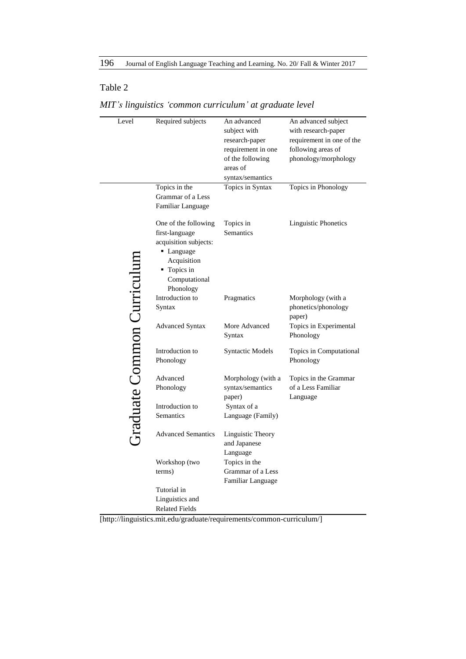# Table 2

| Level                      | Required subjects                                                                                                                         | An advanced<br>subject with<br>research-paper<br>requirement in one<br>of the following<br>areas of<br>syntax/semantics | An advanced subject<br>with research-paper<br>requirement in one of the<br>following areas of<br>phonology/morphology |
|----------------------------|-------------------------------------------------------------------------------------------------------------------------------------------|-------------------------------------------------------------------------------------------------------------------------|-----------------------------------------------------------------------------------------------------------------------|
|                            | Topics in the<br>Grammar of a Less                                                                                                        | Topics in Syntax                                                                                                        | Topics in Phonology                                                                                                   |
|                            | Familiar Language                                                                                                                         |                                                                                                                         |                                                                                                                       |
| Graduate Common Curriculun | One of the following<br>first-language<br>acquisition subjects:<br>• Language<br>Acquisition<br>• Topics in<br>Computational<br>Phonology | Topics in<br><b>Semantics</b>                                                                                           | <b>Linguistic Phonetics</b>                                                                                           |
|                            | Introduction to<br>Syntax                                                                                                                 | Pragmatics                                                                                                              | Morphology (with a<br>phonetics/phonology<br>paper)                                                                   |
|                            | <b>Advanced Syntax</b>                                                                                                                    | More Advanced<br>Syntax                                                                                                 | Topics in Experimental<br>Phonology                                                                                   |
|                            | Introduction to<br>Phonology                                                                                                              | <b>Syntactic Models</b>                                                                                                 | Topics in Computational<br>Phonology                                                                                  |
|                            | Advanced                                                                                                                                  | Morphology (with a                                                                                                      | Topics in the Grammar                                                                                                 |
|                            | Phonology                                                                                                                                 | syntax/semantics<br>paper)                                                                                              | of a Less Familiar<br>Language                                                                                        |
|                            | Introduction to<br>Semantics                                                                                                              | Syntax of a<br>Language (Family)                                                                                        |                                                                                                                       |
|                            | <b>Advanced Semantics</b>                                                                                                                 | Linguistic Theory<br>and Japanese<br>Language                                                                           |                                                                                                                       |
|                            | Workshop (two                                                                                                                             | Topics in the                                                                                                           |                                                                                                                       |
|                            | terms)                                                                                                                                    | Grammar of a Less<br>Familiar Language                                                                                  |                                                                                                                       |
|                            | Tutorial in                                                                                                                               |                                                                                                                         |                                                                                                                       |
|                            | Linguistics and                                                                                                                           |                                                                                                                         |                                                                                                                       |
|                            | <b>Related Fields</b>                                                                                                                     |                                                                                                                         |                                                                                                                       |

# *MIT's linguistics 'common curriculum' at graduate level*

[http://linguistics.mit.edu/graduate/requirements/common-curriculum/]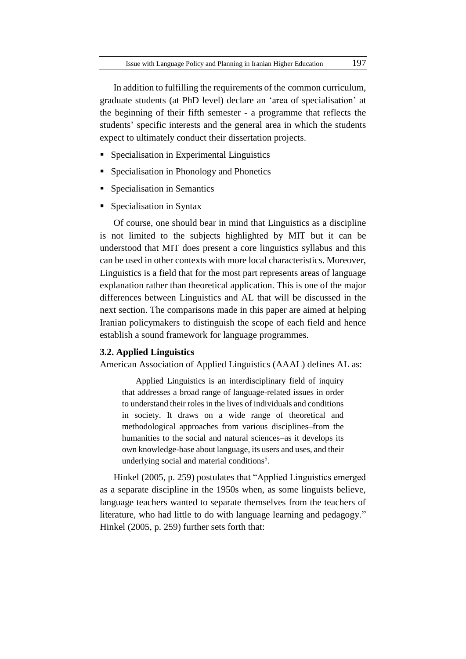In addition to fulfilling the requirements of the [common curriculum,](http://web.mit.edu/linguistics/graduate/requirements/common_curriculum.html) graduate students (at PhD level) declare an 'area of specialisation' at the beginning of their fifth semester - a programme that reflects the students' specific interests and the general area in which the students expect to ultimately conduct their dissertation projects.

- [Specialisation in Experimental Linguistics](http://web.mit.edu/linguistics/graduate/specialization/experimental_linguistics.html)
- [Specialisation in Phonology and Phonetics](http://web.mit.edu/linguistics/graduate/specialization/phon.html)
- **[Specialisation in Semantics](http://web.mit.edu/linguistics/graduate/specialization/semantics.html)**
- [Specialisation in Syntax](http://web.mit.edu/linguistics/graduate/specialization/syntax.html)

Of course, one should bear in mind that Linguistics as a discipline is not limited to the subjects highlighted by MIT but it can be understood that MIT does present a core linguistics syllabus and this can be used in other contexts with more local characteristics. Moreover, Linguistics is a field that for the most part represents areas of language explanation rather than theoretical application. This is one of the major differences between Linguistics and AL that will be discussed in the next section. The comparisons made in this paper are aimed at helping Iranian policymakers to distinguish the scope of each field and hence establish a sound framework for language programmes.

### **3.2. Applied Linguistics**

American Association of Applied Linguistics (AAAL) defines AL as:

Applied Linguistics is an interdisciplinary field of inquiry that addresses a broad range of language-related issues in order to understand their roles in the lives of individuals and conditions in society. It draws on a wide range of theoretical and methodological approaches from various disciplines–from the humanities to the social and natural sciences–as it develops its own knowledge-base about language, its users and uses, and their underlying social and material conditions<sup>5</sup>.

Hinkel (2005, p. 259) postulates that "Applied Linguistics emerged as a separate discipline in the 1950s when, as some linguists believe, language teachers wanted to separate themselves from the teachers of literature, who had little to do with language learning and pedagogy." Hinkel (2005, p. 259) further sets forth that: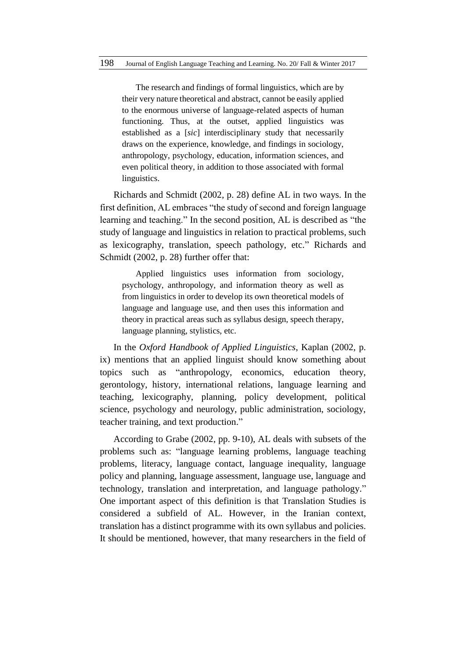The research and findings of formal linguistics, which are by their very nature theoretical and abstract, cannot be easily applied to the enormous universe of language-related aspects of human functioning. Thus, at the outset, applied linguistics was established as a [*sic*] interdisciplinary study that necessarily draws on the experience, knowledge, and findings in sociology, anthropology, psychology, education, information sciences, and even political theory, in addition to those associated with formal linguistics.

Richards and Schmidt (2002, p. 28) define AL in two ways. In the first definition, AL embraces "the study of second and foreign language learning and teaching." In the second position, AL is described as "the study of language and linguistics in relation to practical problems, such as lexicography, translation, speech pathology, etc." Richards and Schmidt (2002, p. 28) further offer that:

Applied linguistics uses information from sociology, psychology, anthropology, and information theory as well as from linguistics in order to develop its own theoretical models of language and language use, and then uses this information and theory in practical areas such as syllabus design, speech therapy, language planning, stylistics, etc.

In the *Oxford Handbook of Applied Linguistics*, Kaplan (2002, p. ix) mentions that an applied linguist should know something about topics such as "anthropology, economics, education theory, gerontology, history, international relations, language learning and teaching, lexicography, planning, policy development, political science, psychology and neurology, public administration, sociology, teacher training, and text production."

According to Grabe (2002, pp. 9-10), AL deals with subsets of the problems such as: "language learning problems, language teaching problems, literacy, language contact, language inequality, language policy and planning, language assessment, language use, language and technology, translation and interpretation, and language pathology." One important aspect of this definition is that Translation Studies is considered a subfield of AL. However, in the Iranian context, translation has a distinct programme with its own syllabus and policies. It should be mentioned, however, that many researchers in the field of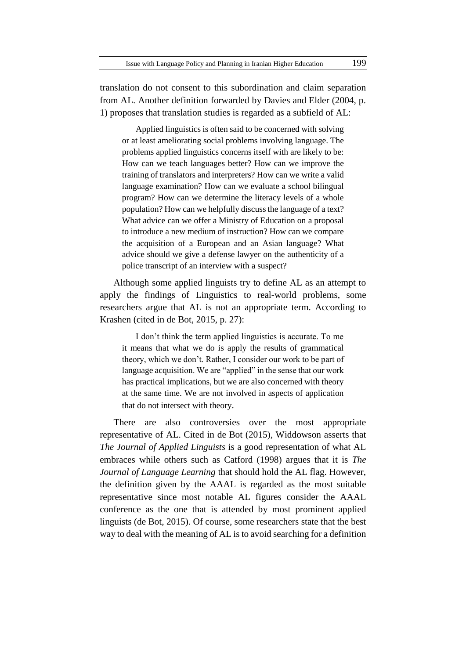translation do not consent to this subordination and claim separation from AL. Another definition forwarded by Davies and Elder (2004, p. 1) proposes that translation studies is regarded as a subfield of AL:

Applied linguistics is often said to be concerned with solving or at least ameliorating social problems involving language. The problems applied linguistics concerns itself with are likely to be: How can we teach languages better? How can we improve the training of translators and interpreters? How can we write a valid language examination? How can we evaluate a school bilingual program? How can we determine the literacy levels of a whole population? How can we helpfully discuss the language of a text? What advice can we offer a Ministry of Education on a proposal to introduce a new medium of instruction? How can we compare the acquisition of a European and an Asian language? What advice should we give a defense lawyer on the authenticity of a police transcript of an interview with a suspect?

Although some applied linguists try to define AL as an attempt to apply the findings of Linguistics to real-world problems, some researchers argue that AL is not an appropriate term. According to Krashen (cited in de Bot, 2015, p. 27):

I don't think the term applied linguistics is accurate. To me it means that what we do is apply the results of grammatical theory, which we don't. Rather, I consider our work to be part of language acquisition. We are "applied" in the sense that our work has practical implications, but we are also concerned with theory at the same time. We are not involved in aspects of application that do not intersect with theory.

There are also controversies over the most appropriate representative of AL. Cited in de Bot (2015), Widdowson asserts that *The Journal of Applied Linguists* is a good representation of what AL embraces while others such as Catford (1998) argues that it is *The Journal of Language Learning* that should hold the AL flag. However, the definition given by the AAAL is regarded as the most suitable representative since most notable AL figures consider the AAAL conference as the one that is attended by most prominent applied linguists (de Bot, 2015). Of course, some researchers state that the best way to deal with the meaning of AL is to avoid searching for a definition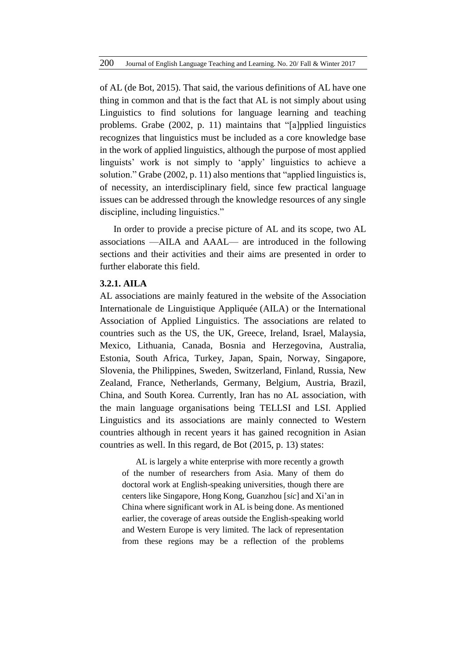of AL (de Bot, 2015). That said, the various definitions of AL have one thing in common and that is the fact that AL is not simply about using Linguistics to find solutions for language learning and teaching problems. Grabe (2002, p. 11) maintains that "[a]pplied linguistics recognizes that linguistics must be included as a core knowledge base in the work of applied linguistics, although the purpose of most applied linguists' work is not simply to 'apply' linguistics to achieve a solution." Grabe (2002, p. 11) also mentions that "applied linguistics is, of necessity, an interdisciplinary field, since few practical language issues can be addressed through the knowledge resources of any single discipline, including linguistics."

In order to provide a precise picture of AL and its scope, two AL associations —AILA and AAAL— are introduced in the following sections and their activities and their aims are presented in order to further elaborate this field.

### **3.2.1. AILA**

AL associations are mainly featured in the website of the Association Internationale de Linguistique Appliquée (AILA) or the International Association of Applied Linguistics. The associations are related to countries such as the US, the UK, Greece, Ireland, Israel, Malaysia, Mexico, Lithuania, Canada, [Bosnia and Herzegovina,](http://www.aila.info/en/about/organization/international-committee/66-bosnia-and-herzegovina.html) Australia, Estonia, South Africa, Turkey, Japan, Spain, Norway, Singapore, Slovenia, the Philippines, Sweden, Switzerland, Finland, Russia, New Zealand, France, Netherlands, Germany, Belgium, Austria, Brazil, China, and South Korea. Currently, Iran has no AL association, with the main language organisations being TELLSI and LSI. Applied Linguistics and its associations are mainly connected to Western countries although in recent years it has gained recognition in Asian countries as well. In this regard, de Bot (2015, p. 13) states:

AL is largely a white enterprise with more recently a growth of the number of researchers from Asia. Many of them do doctoral work at English-speaking universities, though there are centers like Singapore, Hong Kong, Guanzhou [*sic*] and Xi'an in China where significant work in AL is being done. As mentioned earlier, the coverage of areas outside the English-speaking world and Western Europe is very limited. The lack of representation from these regions may be a reflection of the problems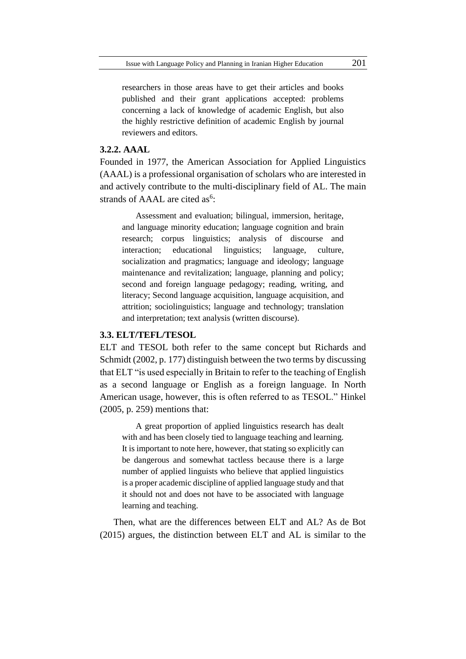researchers in those areas have to get their articles and books published and their grant applications accepted: problems concerning a lack of knowledge of academic English, but also the highly restrictive definition of academic English by journal reviewers and editors.

## **3.2.2. AAAL**

Founded in 1977, the American Association for Applied Linguistics (AAAL) is a professional organisation of scholars who are interested in and actively contribute to the multi-disciplinary field of AL. The main strands of AAAL are cited as<sup>6</sup>:

Assessment and evaluation; bilingual, immersion, heritage, and language minority education; language cognition and brain research; corpus linguistics; analysis of discourse and interaction; educational linguistics; language, culture, socialization and pragmatics; language and ideology; language maintenance and revitalization; language, planning and policy; second and foreign language pedagogy; reading, writing, and literacy; Second language acquisition, language acquisition, and attrition; sociolinguistics; language and technology; translation and interpretation; text analysis (written discourse).

### **3.3. ELT/TEFL/TESOL**

ELT and TESOL both refer to the same concept but Richards and Schmidt (2002, p. 177) distinguish between the two terms by discussing that ELT "is used especially in Britain to refer to the teaching of English as a second language or English as a foreign language. In North American usage, however, this is often referred to as TESOL." Hinkel (2005, p. 259) mentions that:

A great proportion of applied linguistics research has dealt with and has been closely tied to language teaching and learning. It is important to note here, however, that stating so explicitly can be dangerous and somewhat tactless because there is a large number of applied linguists who believe that applied linguistics is a proper academic discipline of applied language study and that it should not and does not have to be associated with language learning and teaching.

Then, what are the differences between ELT and AL? As de Bot (2015) argues, the distinction between ELT and AL is similar to the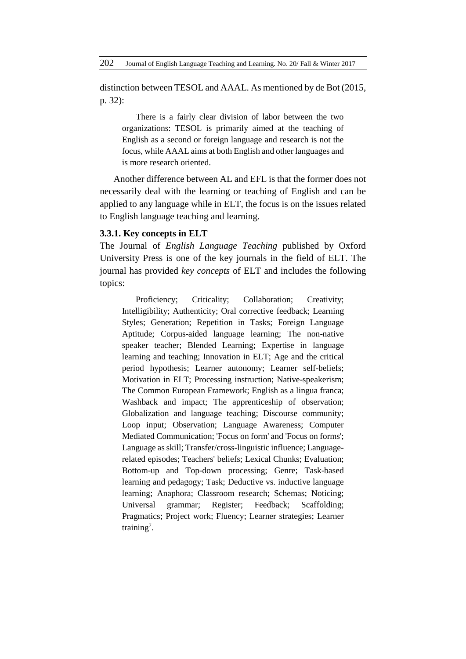distinction between TESOL and AAAL. As mentioned by de Bot (2015, p. 32):

There is a fairly clear division of labor between the two organizations: TESOL is primarily aimed at the teaching of English as a second or foreign language and research is not the focus, while AAAL aims at both English and other languages and is more research oriented.

Another difference between AL and EFL is that the former does not necessarily deal with the learning or teaching of English and can be applied to any language while in ELT, the focus is on the issues related to English language teaching and learning.

### **3.3.1. Key concepts in ELT**

The Journal of *English Language Teaching* published by Oxford University Press is one of the key journals in the field of ELT. The journal has provided *key concepts* of ELT and includes the following topics:

Proficiency: Criticality: Collaboration: Creativity: [Intelligibility;](http://eltj.oxfordjournals.org/content/69/2/202.full.pdf+html) [Authenticity;](http://eltj.oxfordjournals.org/content/68/4/457.full.pdf+html) Oral [corrective](http://eltj.oxfordjournals.org/content/68/2/196.full.pdf+html) feedback; [Learning](http://eltj.oxfordjournals.org/content/67/4/488.full.pdf+html) [Styles;](http://eltj.oxfordjournals.org/content/67/4/488.full.pdf+html) [Generation;](http://eltj.oxfordjournals.org/content/67/2/230.full.pdf+html) [Repetition](http://eltj.oxfordjournals.org/content/66/3/380.full.pdf+html) in Tasks; Foreign [Language](http://eltj.oxfordjournals.org/content/66/2/233.full.pdf+html) [Aptitude;](http://eltj.oxfordjournals.org/content/66/2/233.full.pdf+html) [Corpus-aided](http://eltj.oxfordjournals.org/content/65/4/481.full.pdf+html) language learning; The [non-native](http://eltj.oxfordjournals.org/content/65/2/187.full.pdf+html) speaker [teacher;](http://eltj.oxfordjournals.org/content/65/2/187.full.pdf+html) Blended [Learning;](http://eltj.oxfordjournals.org/content/64/4/456.full.pdf+html) [Expertise](http://eltj.oxfordjournals.org/content/64/2/217.full.pdf+html) in language learning and [teaching;](http://eltj.oxfordjournals.org/content/64/2/217.full.pdf+html) [Innovation](http://eltj.oxfordjournals.org/content/63/4/397.full.pdf+html) in ELT; Age and the [critical](http://eltj.oxfordjournals.org/content/63/2/170.full.pdf+html) period [hypothesis;](http://eltj.oxfordjournals.org/content/63/2/170.full.pdf+html) Learner [autonomy;](http://eltj.oxfordjournals.org/content/62/4/395.full.pdf+html) Learner [self-beliefs;](http://eltj.oxfordjournals.org/content/62/2/182.full.pdf+html) [Motivation](http://eltj.oxfordjournals.org/content/61/4/369.full.pdf+html) in ELT; [Processing](http://eltj.oxfordjournals.org/content/61/2/161.full.pdf+html) instruction; [Native-speakerism;](http://eltj.oxfordjournals.org/content/60/4/385.full.pdf+html) The Common European [Framework;](http://eltj.oxfordjournals.org/content/60/2/181.full.pdf+html) [English](http://eltj.oxfordjournals.org/content/59/4/339.full.pdf+html) as a lingua franca; [Washback](http://eltj.oxfordjournals.org/content/59/2/154.full.pdf+html) and impact; The [apprenticeship](http://eltj.oxfordjournals.org/content/58/3/274.full.pdf+html) of observation; [Globalization](http://eltj.oxfordjournals.org/content/58/1/75.full.pdf+html) and language teaching; Discourse [community;](http://eltj.oxfordjournals.org/content/57/4/398.full.pdf+html) Loop [input;](http://eltj.oxfordjournals.org/content/57/3/301.full.pdf+html) [Observation;](http://eltj.oxfordjournals.org/content/57/2/179.full.pdf+html) Language [Awareness;](http://eltj.oxfordjournals.org/content/57/1/64.full.pdf+html) [Computer](http://eltj.oxfordjournals.org/content/56/4/414.full.pdf+html) Mediated [Communication;](http://eltj.oxfordjournals.org/content/56/4/414.full.pdf+html) ['Focus](http://eltj.oxfordjournals.org/content/56/3/303.full.pdf+html) on form' and 'Focus on forms'; [Language](http://eltj.oxfordjournals.org/content/56/2/190.full.pdf+html) asskill[; Transfer/cross-linguistic](http://eltj.oxfordjournals.org/content/56/1/68.full.pdf+html) influence[; Language](http://eltj.oxfordjournals.org/content/55/3/298.full.pdf+html)related [episodes;](http://eltj.oxfordjournals.org/content/55/3/298.full.pdf+html) [Teachers'](http://eltj.oxfordjournals.org/content/55/2/186.full.pdf+html) beliefs; Lexical [Chunks;](http://eltj.oxfordjournals.org/content/54/4/400.full.pdf+html) [Evaluation;](http://eltj.oxfordjournals.org/content/54/2/210.full.pdf+html) Bottom-up and Top-down [processing;](http://eltj.oxfordjournals.org/content/53/4/338.full.pdf+html) [Genre;](http://eltj.oxfordjournals.org/content/53/2/144.full.pdf+html) [Task-based](http://eltj.oxfordjournals.org/content/53/1/69.full.pdf+html) learning and [pedagogy;](http://eltj.oxfordjournals.org/content/53/1/69.full.pdf+html) [Task;](http://eltj.oxfordjournals.org/content/52/3/264.full.pdf+html) [Deductive](http://eltj.oxfordjournals.org/content/52/1/88.full.pdf+html) vs. inductive language [learning;](http://eltj.oxfordjournals.org/content/52/1/88.full.pdf+html) [Anaphora;](http://eltj.oxfordjournals.org/content/51/4/406.full.pdf+html) [Classroom](http://eltj.oxfordjournals.org/content/51/2/192.full.pdf+html) research; [Schemas;](http://eltj.oxfordjournals.org/content/51/1/86.full.pdf+html) [Noticing;](http://eltj.oxfordjournals.org/content/50/3/273.full.pdf+html) [Universal](http://eltj.oxfordjournals.org/content/49/2/196.full.pdf+html) grammar; [Register;](http://eltj.oxfordjournals.org/content/48/3/288.full.pdf+html) [Feedback;](http://eltj.oxfordjournals.org/content/48/3/287.full.pdf+html) [Scaffolding;](http://eltj.oxfordjournals.org/content/48/1/101.full.pdf+html) [Pragmatics;](http://eltj.oxfordjournals.org/content/48/1/100.full.pdf+html) [Project](http://eltj.oxfordjournals.org/content/47/3/275.full.pdf+html) work; [Fluency;](http://eltj.oxfordjournals.org/content/47/3/275.full.pdf+html) Learner [strategies;](http://eltj.oxfordjournals.org/content/47/1/92.full.pdf+html) Learner training<sup>7</sup>.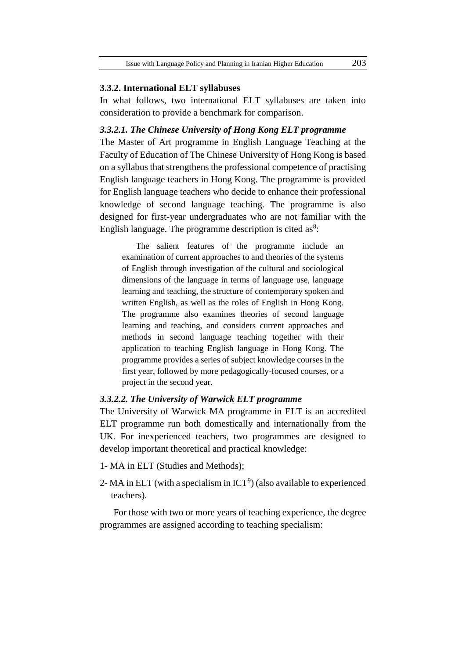#### **3.3.2. International ELT syllabuses**

In what follows, two international ELT syllabuses are taken into consideration to provide a benchmark for comparison.

#### *3.3.2.1. The Chinese University of Hong Kong ELT programme*

The Master of Art programme in English Language Teaching at the Faculty of Education of The Chinese University of Hong Kong is based on a syllabus that strengthens the professional competence of practising English language teachers in Hong Kong. The programme is provided for English language teachers who decide to enhance their professional knowledge of second language teaching. The programme is also designed for first-year undergraduates who are not familiar with the English language. The programme description is cited as $8$ :

The salient features of the programme include an examination of current approaches to and theories of the systems of English through investigation of the cultural and sociological dimensions of the language in terms of language use, language learning and teaching, the structure of contemporary spoken and written English, as well as the roles of English in Hong Kong. The programme also examines theories of second language learning and teaching, and considers current approaches and methods in second language teaching together with their application to teaching English language in Hong Kong. The programme provides a series of subject knowledge courses in the first year, followed by more pedagogically-focused courses, or a project in the second year.

# *3.3.2.2. The University of Warwick ELT programme*

The University of Warwick MA programme in ELT is an accredited ELT programme run both domestically and internationally from the UK. For inexperienced teachers, two programmes are designed to develop important theoretical and practical knowledge:

- 1- MA in ELT (Studies and Methods);
- 2- MA in ELT (with a specialism in  $ICT^9$ ) (also available to experienced teachers).

For those with two or more years of teaching experience, the degree programmes are assigned according to teaching specialism: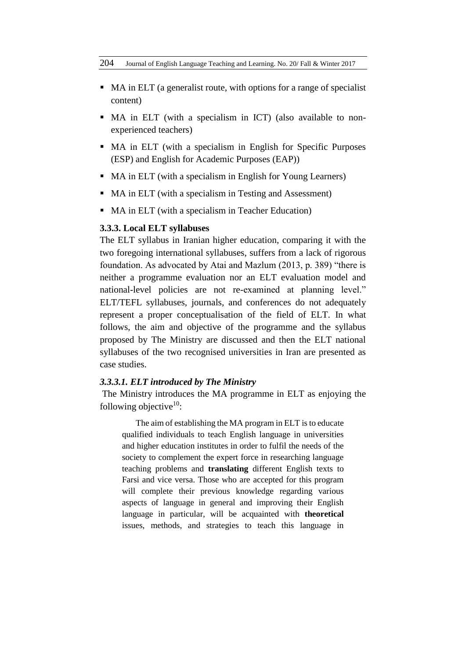- MA in ELT (a generalist route, with options for a range of specialist content)
- MA in ELT (with a specialism in ICT) (also available to nonexperienced teachers)
- MA in ELT (with a specialism in English for Specific Purposes (ESP) and English for Academic Purposes (EAP))
- MA in ELT (with a specialism in English for Young Learners)
- MA in ELT (with a specialism in Testing and Assessment)
- MA in ELT (with a specialism in Teacher Education)

### **3.3.3. Local ELT syllabuses**

The ELT syllabus in Iranian higher education, comparing it with the two foregoing international syllabuses, suffers from a lack of rigorous foundation. As advocated by Atai and Mazlum (2013, p. 389) "there is neither a programme evaluation nor an ELT evaluation model and national-level policies are not re-examined at planning level." ELT/TEFL syllabuses, journals, and conferences do not adequately represent a proper conceptualisation of the field of ELT. In what follows, the aim and objective of the programme and the syllabus proposed by The Ministry are discussed and then the ELT national syllabuses of the two recognised universities in Iran are presented as case studies.

### *3.3.3.1. ELT introduced by The Ministry*

The Ministry introduces the MA programme in ELT as enjoying the following objective $10$ :

The aim of establishing the MA program in ELT is to educate qualified individuals to teach English language in universities and higher education institutes in order to fulfil the needs of the society to complement the expert force in researching language teaching problems and **translating** different English texts to Farsi and vice versa. Those who are accepted for this program will complete their previous knowledge regarding various aspects of language in general and improving their English language in particular, will be acquainted with **theoretical** issues, methods, and strategies to teach this language in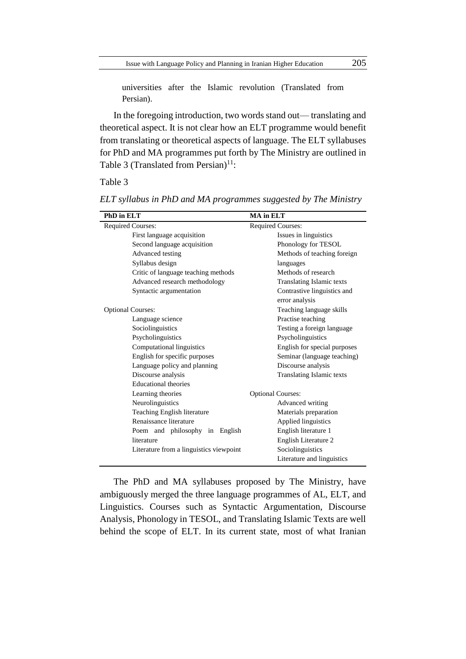universities after the Islamic revolution (Translated from Persian).

In the foregoing introduction, two words stand out— translating and theoretical aspect. It is not clear how an ELT programme would benefit from translating or theoretical aspects of language. The ELT syllabuses for PhD and MA programmes put forth by The Ministry are outlined in Table 3 (Translated from Persian) $11$ :

### Table 3

| PhD in ELT                              | <b>MA</b> in ELT                 |  |
|-----------------------------------------|----------------------------------|--|
| Required Courses:                       | Required Courses:                |  |
| First language acquisition              | Issues in linguistics            |  |
| Second language acquisition             | Phonology for TESOL              |  |
| Advanced testing                        | Methods of teaching foreign      |  |
| Syllabus design                         | languages                        |  |
| Critic of language teaching methods     | Methods of research              |  |
| Advanced research methodology           | <b>Translating Islamic texts</b> |  |
| Syntactic argumentation                 | Contrastive linguistics and      |  |
|                                         | error analysis                   |  |
| <b>Optional Courses:</b>                | Teaching language skills         |  |
| Language science                        | Practise teaching                |  |
| Sociolinguistics                        | Testing a foreign language       |  |
| Psycholinguistics                       | Psycholinguistics                |  |
| Computational linguistics               | English for special purposes     |  |
| English for specific purposes           | Seminar (language teaching)      |  |
| Language policy and planning            | Discourse analysis               |  |
| Discourse analysis                      | Translating Islamic texts        |  |
| <b>Educational theories</b>             |                                  |  |
| Learning theories                       | <b>Optional Courses:</b>         |  |
| Neurolinguistics                        | Advanced writing                 |  |
| Teaching English literature             | Materials preparation            |  |
| Renaissance literature                  | Applied linguistics              |  |
| Poem and philosophy in English          | English literature 1             |  |
| literature                              | English Literature 2             |  |
| Literature from a linguistics viewpoint | Sociolinguistics                 |  |
|                                         | Literature and linguistics       |  |
|                                         |                                  |  |

*ELT syllabus in PhD and MA programmes suggested by The Ministry*

The PhD and MA syllabuses proposed by The Ministry, have ambiguously merged the three language programmes of AL, ELT, and Linguistics. Courses such as Syntactic Argumentation, Discourse Analysis, Phonology in TESOL, and Translating Islamic Texts are well behind the scope of ELT. In its current state, most of what Iranian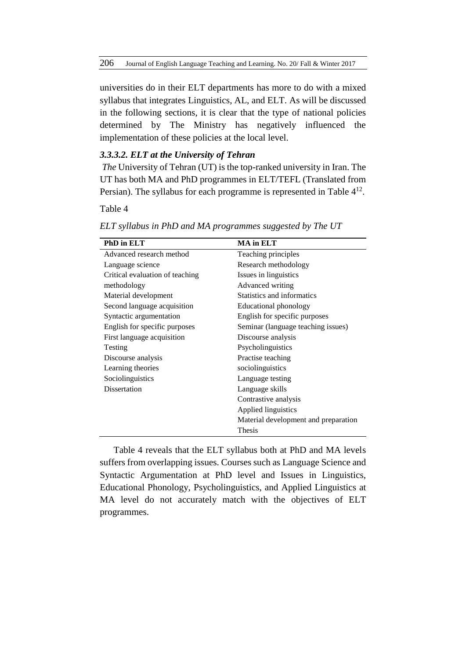universities do in their ELT departments has more to do with a mixed syllabus that integrates Linguistics, AL, and ELT. As will be discussed in the following sections, it is clear that the type of national policies determined by The Ministry has negatively influenced the implementation of these policies at the local level.

### *3.3.3.2. ELT at the University of Tehran*

*The* University of Tehran (UT) is the top-ranked university in Iran. The UT has both MA and PhD programmes in ELT/TEFL (Translated from Persian). The syllabus for each programme is represented in Table  $4^{12}$ .

Table 4

| PhD in ELT                      | <b>MA</b> in ELT                     |  |
|---------------------------------|--------------------------------------|--|
| Advanced research method        | Teaching principles                  |  |
| Language science                | Research methodology                 |  |
| Critical evaluation of teaching | Issues in linguistics                |  |
| methodology                     | Advanced writing                     |  |
| Material development            | Statistics and informatics           |  |
| Second language acquisition     | <b>Educational phonology</b>         |  |
| Syntactic argumentation         | English for specific purposes        |  |
| English for specific purposes   | Seminar (language teaching issues)   |  |
| First language acquisition      | Discourse analysis                   |  |
| Testing                         | Psycholinguistics                    |  |
| Discourse analysis              | Practise teaching                    |  |
| Learning theories               | sociolinguistics                     |  |
| Sociolinguistics                | Language testing                     |  |
| Dissertation                    | Language skills                      |  |
|                                 | Contrastive analysis                 |  |
|                                 | Applied linguistics                  |  |
|                                 | Material development and preparation |  |
|                                 | Thesis                               |  |

*ELT syllabus in PhD and MA programmes suggested by The UT*

Table 4 reveals that the ELT syllabus both at PhD and MA levels suffers from overlapping issues. Courses such as Language Science and Syntactic Argumentation at PhD level and Issues in Linguistics, Educational Phonology, Psycholinguistics, and Applied Linguistics at MA level do not accurately match with the objectives of ELT programmes.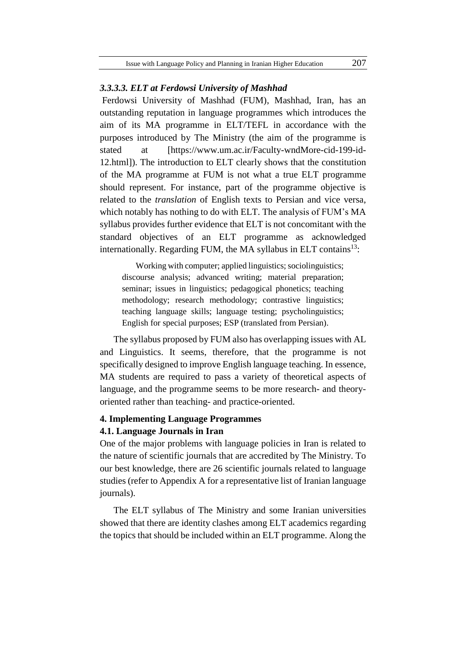#### *3.3.3.3. ELT at Ferdowsi University of Mashhad*

Ferdowsi University of Mashhad (FUM), Mashhad, Iran, has an outstanding reputation in language programmes which introduces the aim of its MA programme in ELT/TEFL in accordance with the purposes introduced by The Ministry (the aim of the programme is stated at [\[https://www.um.ac.ir/Faculty-wndMore-cid-199-id-](https://www.um.ac.ir/Faculty-wndMore-cid-199-id-12.html)[12.html\]](https://www.um.ac.ir/Faculty-wndMore-cid-199-id-12.html)). The introduction to ELT clearly shows that the constitution of the MA programme at FUM is not what a true ELT programme should represent. For instance, part of the programme objective is related to the *translation* of English texts to Persian and vice versa, which notably has nothing to do with ELT. The analysis of FUM's MA syllabus provides further evidence that ELT is not concomitant with the standard objectives of an ELT programme as acknowledged internationally. Regarding FUM, the MA syllabus in ELT contains<sup>13</sup>:

Working with computer; applied linguistics; sociolinguistics; discourse analysis; advanced writing; material preparation; seminar; issues in linguistics; pedagogical phonetics; teaching methodology; research methodology; contrastive linguistics; teaching language skills; language testing; psycholinguistics; English for special purposes; ESP (translated from Persian).

The syllabus proposed by FUM also has overlapping issues with AL and Linguistics. It seems, therefore, that the programme is not specifically designed to improve English language teaching. In essence, MA students are required to pass a variety of theoretical aspects of language, and the programme seems to be more research- and theoryoriented rather than teaching- and practice-oriented.

# **4. Implementing Language Programmes 4.1. Language Journals in Iran**

One of the major problems with language policies in Iran is related to the nature of scientific journals that are accredited by The Ministry. To our best knowledge, there are 26 scientific journals related to language studies (refer to Appendix A for a representative list of Iranian language journals).

The ELT syllabus of The Ministry and some Iranian universities showed that there are identity clashes among ELT academics regarding the topics that should be included within an ELT programme. Along the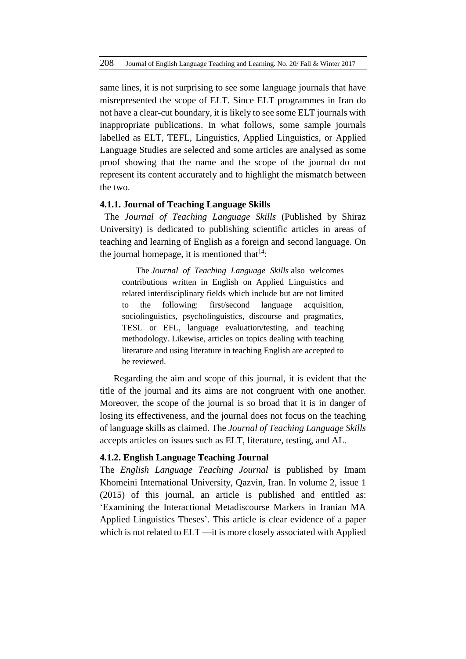same lines, it is not surprising to see some language journals that have misrepresented the scope of ELT. Since ELT programmes in Iran do not have a clear-cut boundary, it is likely to see some ELT journals with inappropriate publications. In what follows, some sample journals labelled as ELT, TEFL, Linguistics, Applied Linguistics, or Applied Language Studies are selected and some articles are analysed as some proof showing that the name and the scope of the journal do not represent its content accurately and to highlight the mismatch between the two.

### **4.1.1. Journal of Teaching Language Skills**

The *Journal of Teaching Language Skills* (Published by Shiraz University) is dedicated to publishing scientific articles in areas of teaching and learning of English as a foreign and second language. On the journal homepage, it is mentioned that  $14$ :

The *Journal of Teaching Language Skills* also welcomes contributions written in English on Applied Linguistics and related interdisciplinary fields which include but are not limited to the following: first/second language acquisition, sociolinguistics, psycholinguistics, discourse and pragmatics, TESL or EFL, language evaluation/testing, and teaching methodology. Likewise, articles on topics dealing with teaching literature and using literature in teaching English are accepted to be reviewed.

Regarding the aim and scope of this journal, it is evident that the title of the journal and its aims are not congruent with one another. Moreover, the scope of the journal is so broad that it is in danger of losing its effectiveness, and the journal does not focus on the teaching of language skills as claimed. The *Journal of Teaching Language Skills* accepts articles on issues such as ELT, literature, testing, and AL.

## **4.1.2. English Language Teaching Journal**

The *English Language Teaching Journal* is published by [Imam](http://www.ikiu.ac.ir/en/)  [Khomeini International University,](http://www.ikiu.ac.ir/en/) Qazvin, Iran. In volume 2, issue 1 (2015) of this journal, an article is published and entitled as: 'Examining the Interactional Metadiscourse Markers in Iranian MA Applied Linguistics Theses'. This article is clear evidence of a paper which is not related to ELT —it is more closely associated with Applied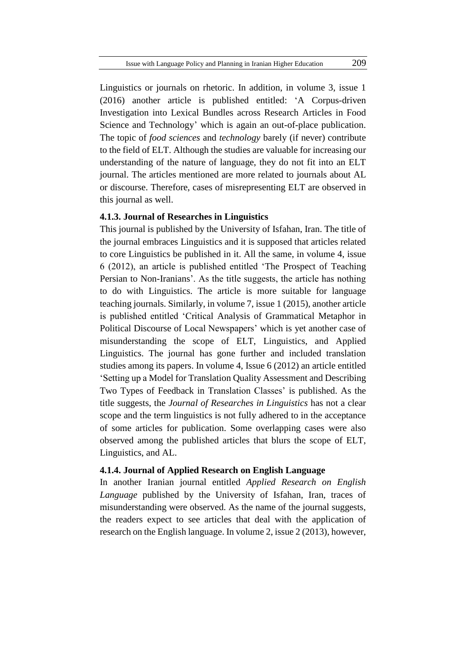Linguistics or journals on rhetoric. In addition, in volume 3, issue 1 (2016) another article is published entitled: 'A Corpus-driven Investigation into Lexical Bundles across Research Articles in Food Science and Technology' which is again an out-of-place publication. The topic of *food sciences* and *technology* barely (if never) contribute to the field of ELT. Although the studies are valuable for increasing our understanding of the nature of language, they do not fit into an ELT journal. The articles mentioned are more related to journals about AL or discourse. Therefore, cases of misrepresenting ELT are observed in this journal as well.

### **4.1.3. Journal of Researches in Linguistics**

This journal is published by the University of Isfahan, Iran. The title of the journal embraces Linguistics and it is supposed that articles related to core Linguistics be published in it. All the same, in volume 4, issue 6 (2012), an article is published entitled ['The Prospect of Teaching](http://uijs.ui.ac.ir/jrl/article-1-266-en.pdf)  [Persian to Non-Iranians'](http://uijs.ui.ac.ir/jrl/article-1-266-en.pdf). As the title suggests, the article has nothing to do with Linguistics. The article is more suitable for language teaching journals. Similarly, in volume 7, issue 1 (2015), another article is published entitled 'Critical Analysis of Grammatical Metaphor in Political Discourse of Local Newspapers' which is yet another case of misunderstanding the scope of ELT, Linguistics, and Applied Linguistics. The journal has gone further and included translation studies among its papers. In volume 4, Issue 6 (2012) an article entitled 'Setting up a Model for Translation Quality Assessment and Describing Two Types of Feedback in Translation Classes' is published. As the title suggests, the *Journal of Researches in Linguistics* has not a clear scope and the term linguistics is not fully adhered to in the acceptance of some articles for publication. Some overlapping cases were also observed among the published articles that blurs the scope of ELT, Linguistics, and AL.

### **4.1.4. Journal of Applied Research on English Language**

In another Iranian journal entitled *Applied Research on English Language* published by the University of Isfahan, Iran, traces of misunderstanding were observed. As the name of the journal suggests, the readers expect to see articles that deal with the application of research on the English language. In volume 2, issue 2 (2013), however,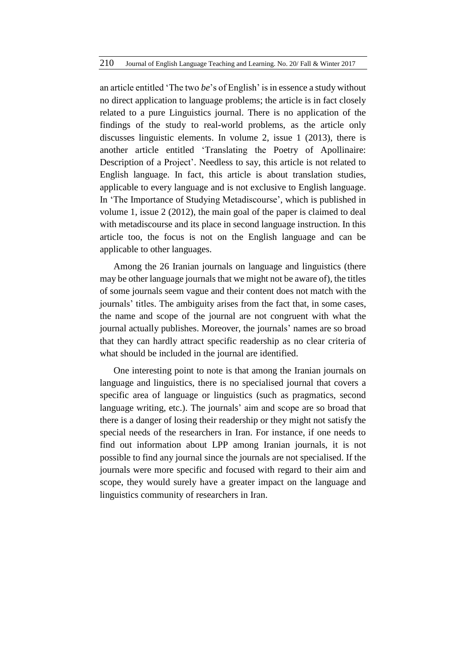an article entitled 'The two *be*'s of English' is in essence a study without no direct application to language problems; the article is in fact closely related to a pure Linguistics journal. There is no application of the findings of the study to real-world problems, as the article only discusses linguistic elements. In volume 2, issue 1 (2013), there is another article entitled 'Translating the Poetry of Apollinaire: Description of a Project'. Needless to say, this article is not related to English language. In fact, this article is about translation studies, applicable to every language and is not exclusive to English language. In 'The Importance of Studying Metadiscourse', which is published in volume 1, issue 2 (2012), the main goal of the paper is claimed to deal with metadiscourse and its place in second language instruction. In this article too, the focus is not on the English language and can be applicable to other languages.

Among the 26 Iranian journals on language and linguistics (there may be other language journals that we might not be aware of), the titles of some journals seem vague and their content does not match with the journals' titles. The ambiguity arises from the fact that, in some cases, the name and scope of the journal are not congruent with what the journal actually publishes. Moreover, the journals' names are so broad that they can hardly attract specific readership as no clear criteria of what should be included in the journal are identified.

One interesting point to note is that among the Iranian journals on language and linguistics, there is no specialised journal that covers a specific area of language or linguistics (such as pragmatics, second language writing, etc.). The journals' aim and scope are so broad that there is a danger of losing their readership or they might not satisfy the special needs of the researchers in Iran. For instance, if one needs to find out information about LPP among Iranian journals, it is not possible to find any journal since the journals are not specialised. If the journals were more specific and focused with regard to their aim and scope, they would surely have a greater impact on the language and linguistics community of researchers in Iran.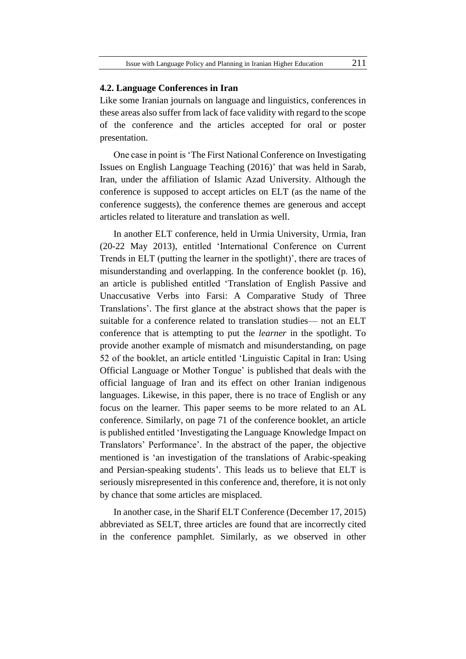#### **4.2. Language Conferences in Iran**

Like some Iranian journals on language and linguistics, conferences in these areas also suffer from lack of face validity with regard to the scope of the conference and the articles accepted for oral or poster presentation.

One case in point is 'The First National Conference on Investigating Issues on English Language Teaching (2016)' that was held in Sarab, Iran, under the affiliation of Islamic Azad University. Although the conference is supposed to accept articles on ELT (as the name of the conference suggests), the conference themes are generous and accept articles related to literature and translation as well.

In another ELT conference, held in Urmia University, Urmia, Iran (20-22 May 2013), entitled 'International Conference on Current Trends in ELT (putting the learner in the spotlight)', there are traces of misunderstanding and overlapping. In the conference booklet (p. 16), an article is published entitled 'Translation of English Passive and Unaccusative Verbs into Farsi: A Comparative Study of Three Translations'. The first glance at the abstract shows that the paper is suitable for a conference related to translation studies— not an ELT conference that is attempting to put the *learner* in the spotlight. To provide another example of mismatch and misunderstanding, on page 52 of the booklet, an article entitled 'Linguistic Capital in Iran: Using Official Language or Mother Tongue' is published that deals with the official language of Iran and its effect on other Iranian indigenous languages. Likewise, in this paper, there is no trace of English or any focus on the learner. This paper seems to be more related to an AL conference. Similarly, on page 71 of the conference booklet, an article is published entitled 'Investigating the Language Knowledge Impact on Translators' Performance'. In the abstract of the paper, the objective mentioned is 'an investigation of the translations of Arabic-speaking and Persian-speaking students'. This leads us to believe that ELT is seriously misrepresented in this conference and, therefore, it is not only by chance that some articles are misplaced.

In another case, in the Sharif ELT Conference (December 17, 2015) abbreviated as SELT, three articles are found that are incorrectly cited in the conference pamphlet. Similarly, as we observed in other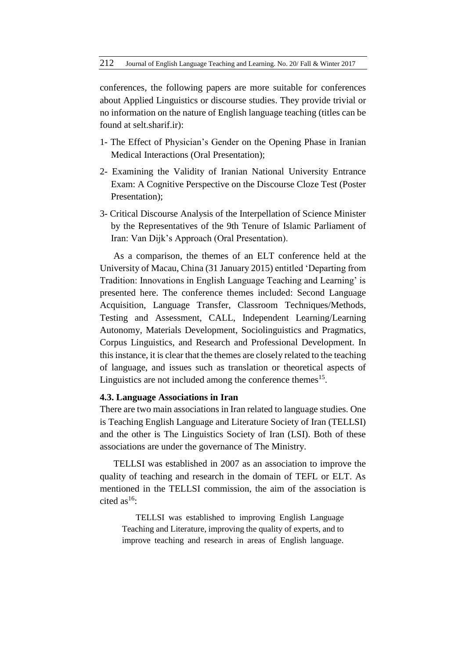conferences, the following papers are more suitable for conferences about Applied Linguistics or discourse studies. They provide trivial or no information on the nature of English language teaching (titles can be found at selt.sharif.ir):

- 1- The Effect of Physician's Gender on the Opening Phase in Iranian Medical Interactions (Oral Presentation);
- 2- Examining the Validity of Iranian National University Entrance Exam: A Cognitive Perspective on the Discourse Cloze Test (Poster Presentation);
- 3- Critical Discourse Analysis of the Interpellation of Science Minister by the Representatives of the 9th Tenure of Islamic Parliament of Iran: Van Dijk's Approach (Oral Presentation).

As a comparison, the themes of an ELT conference held at the University of Macau, China (31 January 2015) entitled 'Departing from Tradition: Innovations in English Language Teaching and Learning' is presented here. The conference themes included: Second Language Acquisition, Language Transfer, Classroom Techniques/Methods, Testing and Assessment, CALL, Independent Learning/Learning Autonomy, Materials Development, Sociolinguistics and Pragmatics, Corpus Linguistics, and Research and Professional Development. In this instance, it is clear that the themes are closely related to the teaching of language, and issues such as translation or theoretical aspects of Linguistics are not included among the conference themes<sup>15</sup>.

### **4.3. Language Associations in Iran**

There are two main associations in Iran related to language studies. One is Teaching English Language and Literature Society of Iran (TELLSI) and the other is The Linguistics Society of Iran (LSI). Both of these associations are under the governance of The Ministry.

TELLSI was established in 2007 as an association to improve the quality of teaching and research in the domain of TEFL or ELT. As mentioned in the TELLSI commission, the aim of the association is cited as<sup>16</sup>:

TELLSI was established to improving English Language Teaching and Literature, improving the quality of experts, and to improve teaching and research in areas of English language.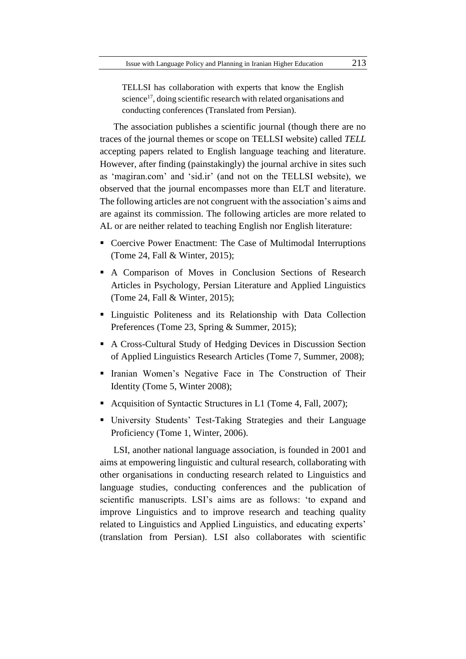TELLSI has collaboration with experts that know the English science<sup>17</sup>, doing scientific research with related organisations and conducting conferences (Translated from Persian).

The association publishes a scientific journal (though there are no traces of the journal themes or scope on TELLSI website) called *TELL* accepting papers related to English language teaching and literature. However, after finding (painstakingly) the journal archive in sites such as 'magiran.com' and 'sid.ir' (and not on the TELLSI website), we observed that the journal encompasses more than ELT and literature. The following articles are not congruent with the association's aims and are against its commission. The following articles are more related to AL or are neither related to teaching English nor English literature:

- Coercive Power Enactment: The Case of Multimodal Interruptions (Tome 24, Fall & Winter, 2015);
- A Comparison of Moves in Conclusion Sections of Research Articles in Psychology, Persian Literature and Applied Linguistics (Tome 24, Fall & Winter, 2015);
- Linguistic Politeness and its Relationship with Data Collection Preferences (Tome 23, Spring & Summer, 2015);
- A Cross-Cultural Study of Hedging Devices in Discussion Section of Applied Linguistics Research Articles (Tome 7, Summer, 2008);
- Iranian Women's Negative Face in The Construction of Their Identity (Tome 5, Winter 2008);
- Acquisition of Syntactic Structures in L1 (Tome 4, Fall, 2007);
- University Students' Test-Taking Strategies and their Language Proficiency (Tome 1, Winter, 2006).

LSI, another national language association, is founded in 2001 and aims at empowering linguistic and cultural research, collaborating with other organisations in conducting research related to Linguistics and language studies, conducting conferences and the publication of scientific manuscripts. LSI's aims are as follows: 'to expand and improve Linguistics and to improve research and teaching quality related to Linguistics and Applied Linguistics, and educating experts' (translation from Persian). LSI also collaborates with scientific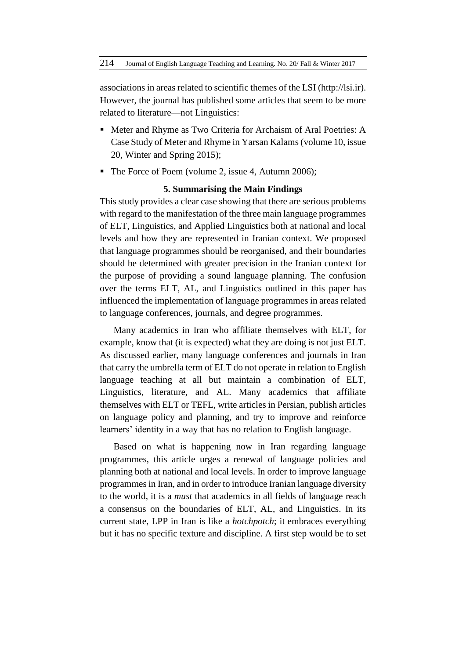associations in areas related to scientific themes of the LSI [\(http://lsi.ir\)](http://lsi.ir/). However, the journal has published some articles that seem to be more related to literature—not Linguistics:

- Meter and Rhyme as Two Criteria for Archaism of Aral Poetries: A Case Study of Meter and Rhyme in Yarsan Kalams [\(volume 10, issue](http://lsi-linguistics.ihcs.ac.ir/issue_385_409_Volume+10%2C+Issue+20%2C+Winter++and+Spring+2015%2C+Page+1-128.html)  [20,](http://lsi-linguistics.ihcs.ac.ir/issue_385_409_Volume+10%2C+Issue+20%2C+Winter++and+Spring+2015%2C+Page+1-128.html) Winter and Spring 2015);
- The Force of Poem [\(volume 2, issue 4,](http://lsi-linguistics.ihcs.ac.ir/issue_348_354_Volume+2%2C+Issue+4%2C+Autumn+2006.html) Autumn 2006);

### **5. Summarising the Main Findings**

This study provides a clear case showing that there are serious problems with regard to the manifestation of the three main language programmes of ELT, Linguistics, and Applied Linguistics both at national and local levels and how they are represented in Iranian context. We proposed that language programmes should be reorganised, and their boundaries should be determined with greater precision in the Iranian context for the purpose of providing a sound language planning. The confusion over the terms ELT, AL, and Linguistics outlined in this paper has influenced the implementation of language programmes in areas related to language conferences, journals, and degree programmes.

Many academics in Iran who affiliate themselves with ELT, for example, know that (it is expected) what they are doing is not just ELT. As discussed earlier, many language conferences and journals in Iran that carry the umbrella term of ELT do not operate in relation to English language teaching at all but maintain a combination of ELT, Linguistics, literature, and AL. Many academics that affiliate themselves with ELT or TEFL, write articles in Persian, publish articles on language policy and planning, and try to improve and reinforce learners' identity in a way that has no relation to English language.

Based on what is happening now in Iran regarding language programmes, this article urges a renewal of language policies and planning both at national and local levels. In order to improve language programmesin Iran, and in order to introduce Iranian language diversity to the world, it is a *must* that academics in all fields of language reach a consensus on the boundaries of ELT, AL, and Linguistics. In its current state, LPP in Iran is like a *hotchpotch*; it embraces everything but it has no specific texture and discipline. A first step would be to set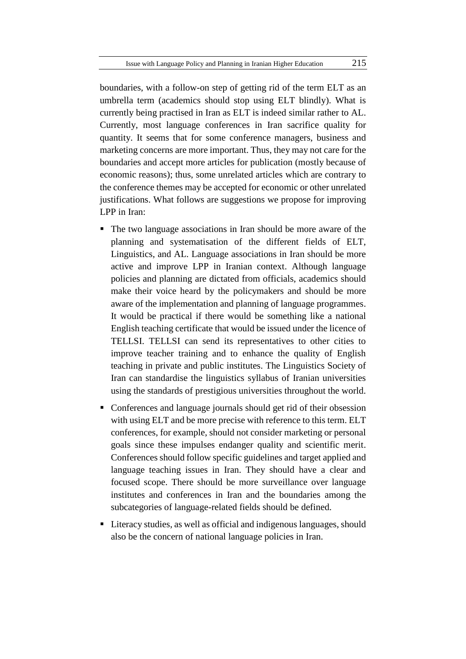boundaries, with a follow-on step of getting rid of the term ELT as an umbrella term (academics should stop using ELT blindly). What is currently being practised in Iran as ELT is indeed similar rather to AL. Currently, most language conferences in Iran sacrifice quality for quantity. It seems that for some conference managers, business and marketing concerns are more important. Thus, they may not care for the boundaries and accept more articles for publication (mostly because of economic reasons); thus, some unrelated articles which are contrary to the conference themes may be accepted for economic or other unrelated justifications. What follows are suggestions we propose for improving LPP in Iran:

- The two language associations in Iran should be more aware of the planning and systematisation of the different fields of ELT, Linguistics, and AL. Language associations in Iran should be more active and improve LPP in Iranian context. Although language policies and planning are dictated from officials, academics should make their voice heard by the policymakers and should be more aware of the implementation and planning of language programmes. It would be practical if there would be something like a national English teaching certificate that would be issued under the licence of TELLSI. TELLSI can send its representatives to other cities to improve teacher training and to enhance the quality of English teaching in private and public institutes. The Linguistics Society of Iran can standardise the linguistics syllabus of Iranian universities using the standards of prestigious universities throughout the world.
- Conferences and language journals should get rid of their obsession with using ELT and be more precise with reference to this term. ELT conferences, for example, should not consider marketing or personal goals since these impulses endanger quality and scientific merit. Conferences should follow specific guidelines and target applied and language teaching issues in Iran. They should have a clear and focused scope. There should be more surveillance over language institutes and conferences in Iran and the boundaries among the subcategories of language-related fields should be defined.
- Literacy studies, as well as official and indigenous languages, should also be the concern of national language policies in Iran.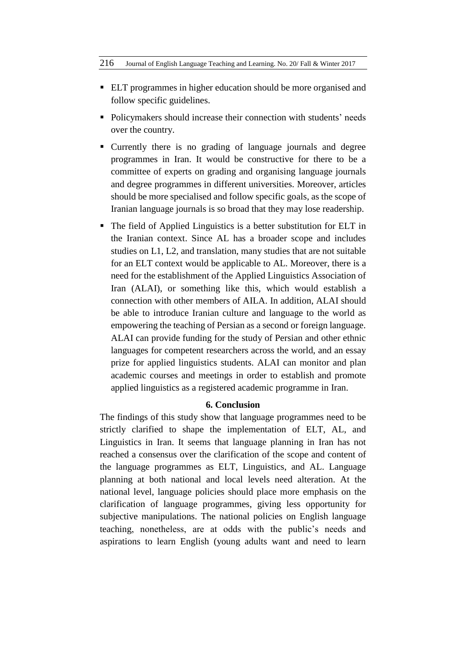- ELT programmes in higher education should be more organised and follow specific guidelines.
- Policymakers should increase their connection with students' needs over the country.
- Currently there is no grading of language journals and degree programmes in Iran. It would be constructive for there to be a committee of experts on grading and organising language journals and degree programmes in different universities. Moreover, articles should be more specialised and follow specific goals, as the scope of Iranian language journals is so broad that they may lose readership.
- The field of Applied Linguistics is a better substitution for ELT in the Iranian context. Since AL has a broader scope and includes studies on L1, L2, and translation, many studies that are not suitable for an ELT context would be applicable to AL. Moreover, there is a need for the establishment of the Applied Linguistics Association of Iran (ALAI), or something like this, which would establish a connection with other members of AILA. In addition, ALAI should be able to introduce Iranian culture and language to the world as empowering the teaching of Persian as a second or foreign language. ALAI can provide funding for the study of Persian and other ethnic languages for competent researchers across the world, and an essay prize for applied linguistics students. ALAI can monitor and plan academic courses and meetings in order to establish and promote applied linguistics as a registered academic programme in Iran.

### **6. Conclusion**

The findings of this study show that language programmes need to be strictly clarified to shape the implementation of ELT, AL, and Linguistics in Iran. It seems that language planning in Iran has not reached a consensus over the clarification of the scope and content of the language programmes as ELT, Linguistics, and AL. Language planning at both national and local levels need alteration. At the national level, language policies should place more emphasis on the clarification of language programmes, giving less opportunity for subjective manipulations. The national policies on English language teaching, nonetheless, are at odds with the public's needs and aspirations to learn English (young adults want and need to learn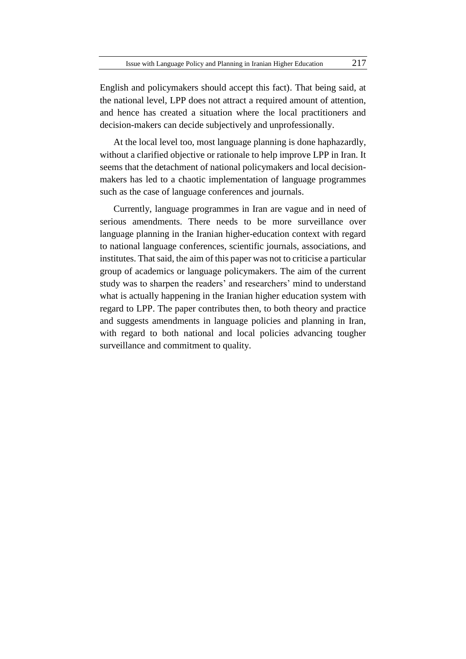English and policymakers should accept this fact). That being said, at the national level, LPP does not attract a required amount of attention, and hence has created a situation where the local practitioners and decision-makers can decide subjectively and unprofessionally.

At the local level too, most language planning is done haphazardly, without a clarified objective or rationale to help improve LPP in Iran. It seems that the detachment of national policymakers and local decisionmakers has led to a chaotic implementation of language programmes such as the case of language conferences and journals.

Currently, language programmes in Iran are vague and in need of serious amendments. There needs to be more surveillance over language planning in the Iranian higher-education context with regard to national language conferences, scientific journals, associations, and institutes. That said, the aim of this paper was not to criticise a particular group of academics or language policymakers. The aim of the current study was to sharpen the readers' and researchers' mind to understand what is actually happening in the Iranian higher education system with regard to LPP. The paper contributes then, to both theory and practice and suggests amendments in language policies and planning in Iran, with regard to both national and local policies advancing tougher surveillance and commitment to quality.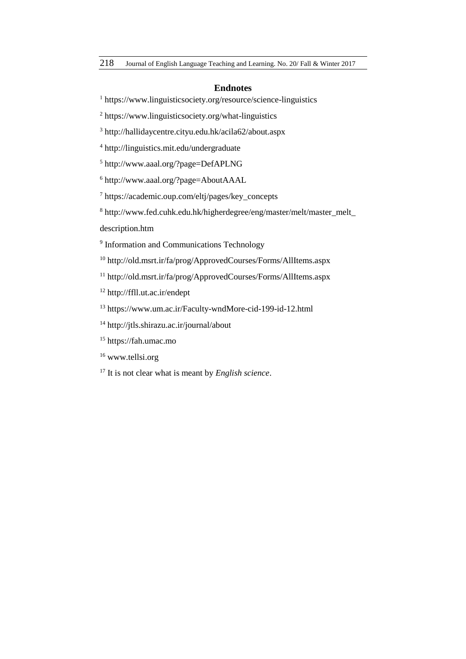#### **Endnotes**

https://www.linguisticsociety.org/resource/science-linguistics

https://www.linguisticsociety.org/what-linguistics

http://hallidaycentre.cityu.edu.hk/acila62/about.aspx

http://linguistics.mit.edu/undergraduate

http://www.aaal.org/?page=DefAPLNG

http://www.aaal.org/?page=AboutAAAL

https://academic.oup.com/eltj/pages/key\_concepts

[http://www.fed.cuhk.edu.hk/higherdegree/eng/master/melt/master\\_melt\\_](http://www.fed.cuhk.edu.hk/higherdegree/eng/master/melt/master_melt_)

description.htm

<sup>9</sup> Information and Communications Technology

http://old.msrt.ir/fa/prog/ApprovedCourses/Forms/AllItems.aspx

http://old.msrt.ir/fa/prog/ApprovedCourses/Forms/AllItems.aspx

http://ffll.ut.ac.ir/endept

https://www.um.ac.ir/Faculty-wndMore-cid-199-id-12.html

http://jtls.shirazu.ac.ir/journal/about

https://fah.umac.mo

<sup>16</sup> [www.tellsi.org](http://www.tellsi.org/)

It is not clear what is meant by *English science*.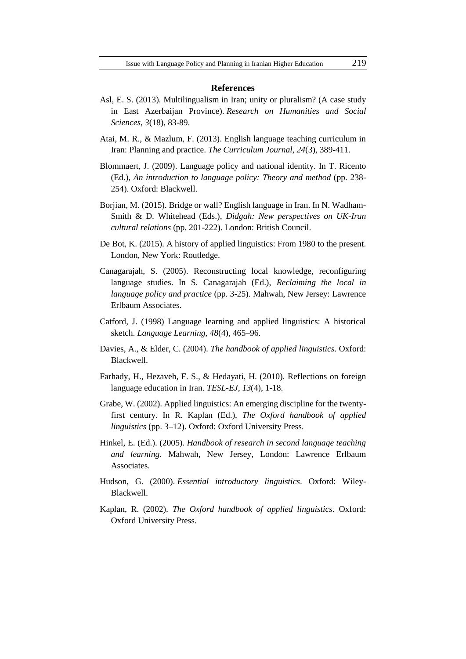#### **References**

- Asl, E. S. (2013). Multilingualism in Iran; unity or pluralism? (A case study in East Azerbaijan Province). *Research on Humanities and Social Sciences*, *3*(18), 83-89.
- Atai, M. R., & Mazlum, F. (2013). English language teaching curriculum in Iran: Planning and practice. *The Curriculum Journal*, *24*(3), 389-411.
- Blommaert, J. (2009). Language policy and national identity. In T. Ricento (Ed.), *An introduction to language policy: Theory and method* (pp. 238- 254). Oxford: Blackwell.
- Borjian, M. (2015). Bridge or wall? English language in Iran. In N. Wadham-Smith & D. Whitehead (Eds.), *Didgah: New perspectives on UK-Iran cultural relations* (pp. 201-222). London: British Council.
- De Bot, K. (2015). A history of applied linguistics: From 1980 to the present. London, New York: Routledge.
- Canagarajah, S. (2005). Reconstructing local knowledge, reconfiguring language studies. In S. Canagarajah (Ed.), *Reclaiming the local in language policy and practice* (pp. 3-25). Mahwah, New Jersey: Lawrence Erlbaum Associates.
- Catford, J. (1998) Language learning and applied linguistics: A historical sketch. *Language Learning*, *48*(4), 465–96.
- Davies, A., & Elder, C. (2004). *The handbook of applied linguistics*. Oxford: Blackwell.
- Farhady, H., Hezaveh, F. S., & Hedayati, H. (2010). Reflections on foreign language education in Iran. *TESL-EJ*, *13*(4), 1-18.
- Grabe, W. (2002). Applied linguistics: An emerging discipline for the twentyfirst century. In R. Kaplan (Ed.), *The Oxford handbook of applied linguistics* (pp. 3–12). Oxford: Oxford University Press.
- Hinkel, E. (Ed.). (2005). *Handbook of research in second language teaching and learning*. Mahwah, New Jersey, London: Lawrence Erlbaum Associates.
- Hudson, G. (2000). *Essential introductory linguistics*. Oxford: Wiley-Blackwell.
- Kaplan, R. (2002). *The Oxford handbook of applied linguistics*. Oxford: Oxford University Press.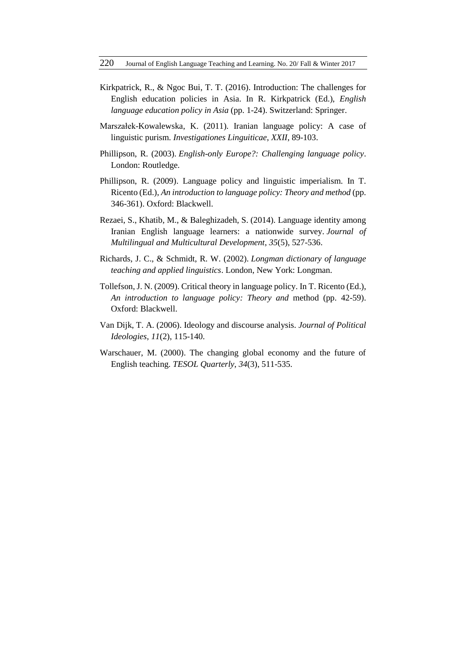- Kirkpatrick, R., & Ngoc Bui, T. T. (2016). Introduction: The challenges for English education policies in Asia. In R. Kirkpatrick (Ed.), *English language education policy in Asia* (pp. 1-24). Switzerland: Springer.
- Marszałek-Kowalewska, K. (2011). Iranian language policy: A case of linguistic purism. *Investigationes Linguiticae*, *XXII*, 89-103.
- Phillipson, R. (2003). *English-only Europe?: Challenging language policy*. London: Routledge.
- Phillipson, R. (2009). Language policy and linguistic imperialism. In T. Ricento (Ed.), *An introduction to language policy: Theory and method* (pp. 346-361). Oxford: Blackwell.
- Rezaei, S., Khatib, M., & Baleghizadeh, S. (2014). Language identity among Iranian English language learners: a nationwide survey. *Journal of Multilingual and Multicultural Development*, *35*(5), 527-536.
- Richards, J. C., & Schmidt, R. W. (2002). *Longman dictionary of language teaching and applied linguistics*. London, New York: Longman.
- Tollefson, J. N. (2009). Critical theory in language policy. In T. Ricento (Ed.), *An introduction to language policy: Theory and* method (pp. 42-59). Oxford: Blackwell.
- Van Dijk, T. A. (2006). Ideology and discourse analysis. *Journal of Political Ideologies*, *11*(2), 115-140.
- Warschauer, M. (2000). The changing global economy and the future of English teaching. *TESOL Quarterly*, *34*(3), 511-535.